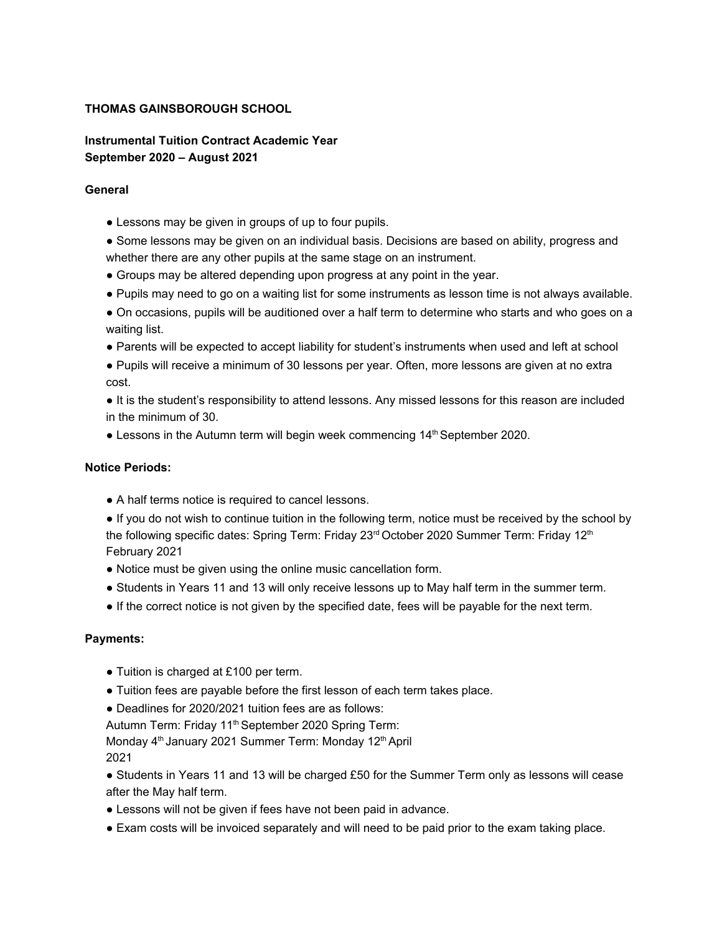# **THOMAS GAINSBOROUGH SCHOOL**

**Instrumental Tuition Contract Academic Year September 2020 – August 2021**

#### **General**

- Lessons may be given in groups of up to four pupils.
- Some lessons may be given on an individual basis. Decisions are based on ability, progress and whether there are any other pupils at the same stage on an instrument.
- Groups may be altered depending upon progress at any point in the year.
- Pupils may need to go on a waiting list for some instruments as lesson time is not always available.
- On occasions, pupils will be auditioned over a half term to determine who starts and who goes on a waiting list.
- Parents will be expected to accept liability for student's instruments when used and left at school
- Pupils will receive a minimum of 30 lessons per year. Often, more lessons are given at no extra cost.
- It is the student's responsibility to attend lessons. Any missed lessons for this reason are included in the minimum of 30.
- Lessons in the Autumn term will begin week commencing 14<sup>th</sup> September 2020.

#### **Notice Periods:**

- A half terms notice is required to cancel lessons.
- If you do not wish to continue tuition in the following term, notice must be received by the school by the following specific dates: Spring Term: Friday 23<sup>rd</sup> October 2020 Summer Term: Friday 12<sup>th</sup> February 2021
- Notice must be given using the online music cancellation form.
- Students in Years 11 and 13 will only receive lessons up to May half term in the summer term.
- If the correct notice is not given by the specified date, fees will be payable for the next term.

#### **Payments:**

- Tuition is charged at £100 per term.
- Tuition fees are payable before the first lesson of each term takes place.
- Deadlines for 2020/2021 tuition fees are as follows:

Autumn Term: Friday 11<sup>th</sup> September 2020 Spring Term:

Monday 4<sup>th</sup> January 2021 Summer Term: Monday 12<sup>th</sup> April 2021

- Students in Years 11 and 13 will be charged £50 for the Summer Term only as lessons will cease after the May half term.
- Lessons will not be given if fees have not been paid in advance.
- Exam costs will be invoiced separately and will need to be paid prior to the exam taking place.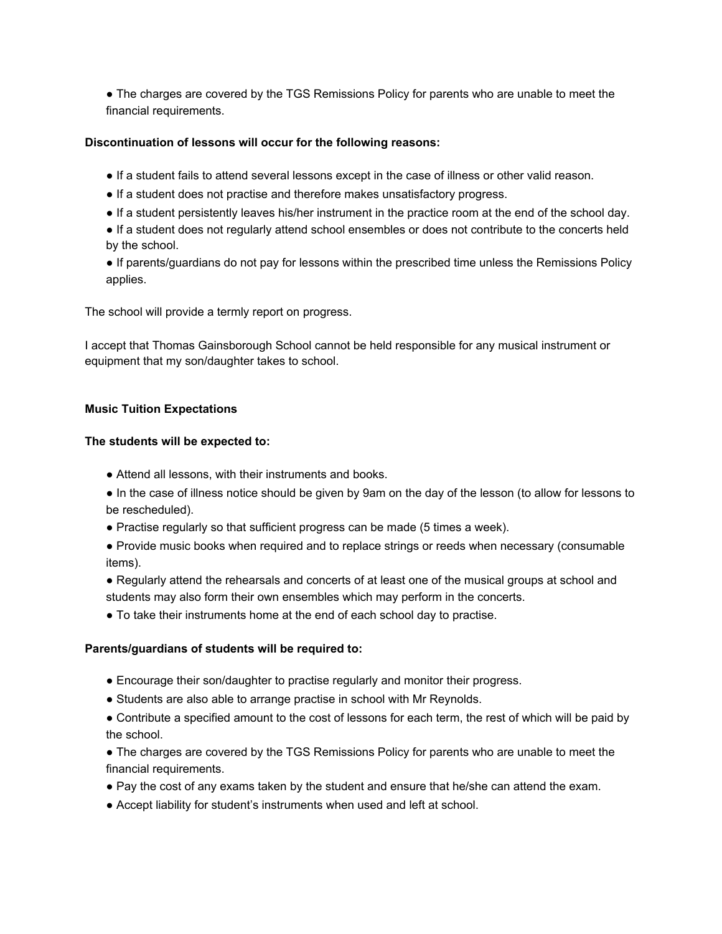• The charges are covered by the TGS Remissions Policy for parents who are unable to meet the financial requirements.

# **Discontinuation of lessons will occur for the following reasons:**

- If a student fails to attend several lessons except in the case of illness or other valid reason.
- If a student does not practise and therefore makes unsatisfactory progress.
- If a student persistently leaves his/her instrument in the practice room at the end of the school day.
- If a student does not regularly attend school ensembles or does not contribute to the concerts held by the school.
- If parents/guardians do not pay for lessons within the prescribed time unless the Remissions Policy applies.

The school will provide a termly report on progress.

I accept that Thomas Gainsborough School cannot be held responsible for any musical instrument or equipment that my son/daughter takes to school.

# **Music Tuition Expectations**

# **The students will be expected to:**

- Attend all lessons, with their instruments and books.
- In the case of illness notice should be given by 9am on the day of the lesson (to allow for lessons to be rescheduled).
- Practise regularly so that sufficient progress can be made (5 times a week).
- Provide music books when required and to replace strings or reeds when necessary (consumable items).
- Regularly attend the rehearsals and concerts of at least one of the musical groups at school and students may also form their own ensembles which may perform in the concerts.
- To take their instruments home at the end of each school day to practise.

# **Parents/guardians of students will be required to:**

- Encourage their son/daughter to practise regularly and monitor their progress.
- Students are also able to arrange practise in school with Mr Reynolds.
- Contribute a specified amount to the cost of lessons for each term, the rest of which will be paid by the school.
- The charges are covered by the TGS Remissions Policy for parents who are unable to meet the financial requirements.
- Pay the cost of any exams taken by the student and ensure that he/she can attend the exam.
- Accept liability for student's instruments when used and left at school.